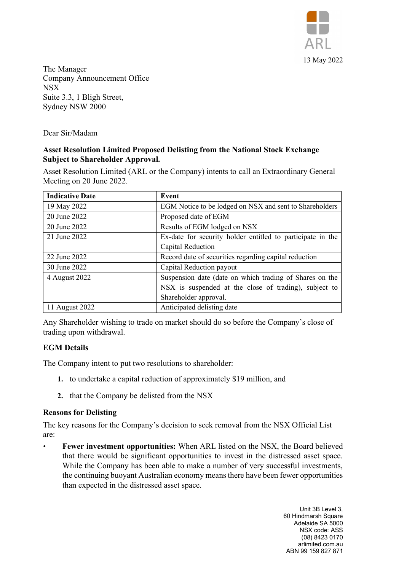

The Manager Company Announcement Office NSX Suite 3.3, 1 Bligh Street, Sydney NSW 2000

Dear Sir/Madam

# **Asset Resolution Limited Proposed Delisting from the National Stock Exchange Subject to Shareholder Approval.**

Asset Resolution Limited (ARL or the Company) intents to call an Extraordinary General Meeting on 20 June 2022.

| <b>Indicative Date</b> | Event                                                      |
|------------------------|------------------------------------------------------------|
| 19 May 2022            | EGM Notice to be lodged on NSX and sent to Shareholders    |
| 20 June 2022           | Proposed date of EGM                                       |
| 20 June 2022           | Results of EGM lodged on NSX                               |
| 21 June 2022           | Ex-date for security holder entitled to participate in the |
|                        | Capital Reduction                                          |
| 22 June 2022           | Record date of securities regarding capital reduction      |
| 30 June 2022           | Capital Reduction payout                                   |
| 4 August 2022          | Suspension date (date on which trading of Shares on the    |
|                        | NSX is suspended at the close of trading), subject to      |
|                        | Shareholder approval.                                      |
| 11 August 2022         | Anticipated delisting date                                 |

Any Shareholder wishing to trade on market should do so before the Company's close of trading upon withdrawal.

## **EGM Details**

The Company intent to put two resolutions to shareholder:

- **1.** to undertake a capital reduction of approximately \$19 million, and
- **2.** that the Company be delisted from the NSX

## **Reasons for Delisting**

The key reasons for the Company's decision to seek removal from the NSX Official List are:

• **Fewer investment opportunities:** When ARL listed on the NSX, the Board believed that there would be significant opportunities to invest in the distressed asset space. While the Company has been able to make a number of very successful investments, the continuing buoyant Australian economy means there have been fewer opportunities than expected in the distressed asset space.

> Unit 3B Level 3, 60 Hindmarsh Square Adelaide SA 5000 NSX code: ASS (08) 8423 0170 arlimited.com.au ABN 99 159 827 871